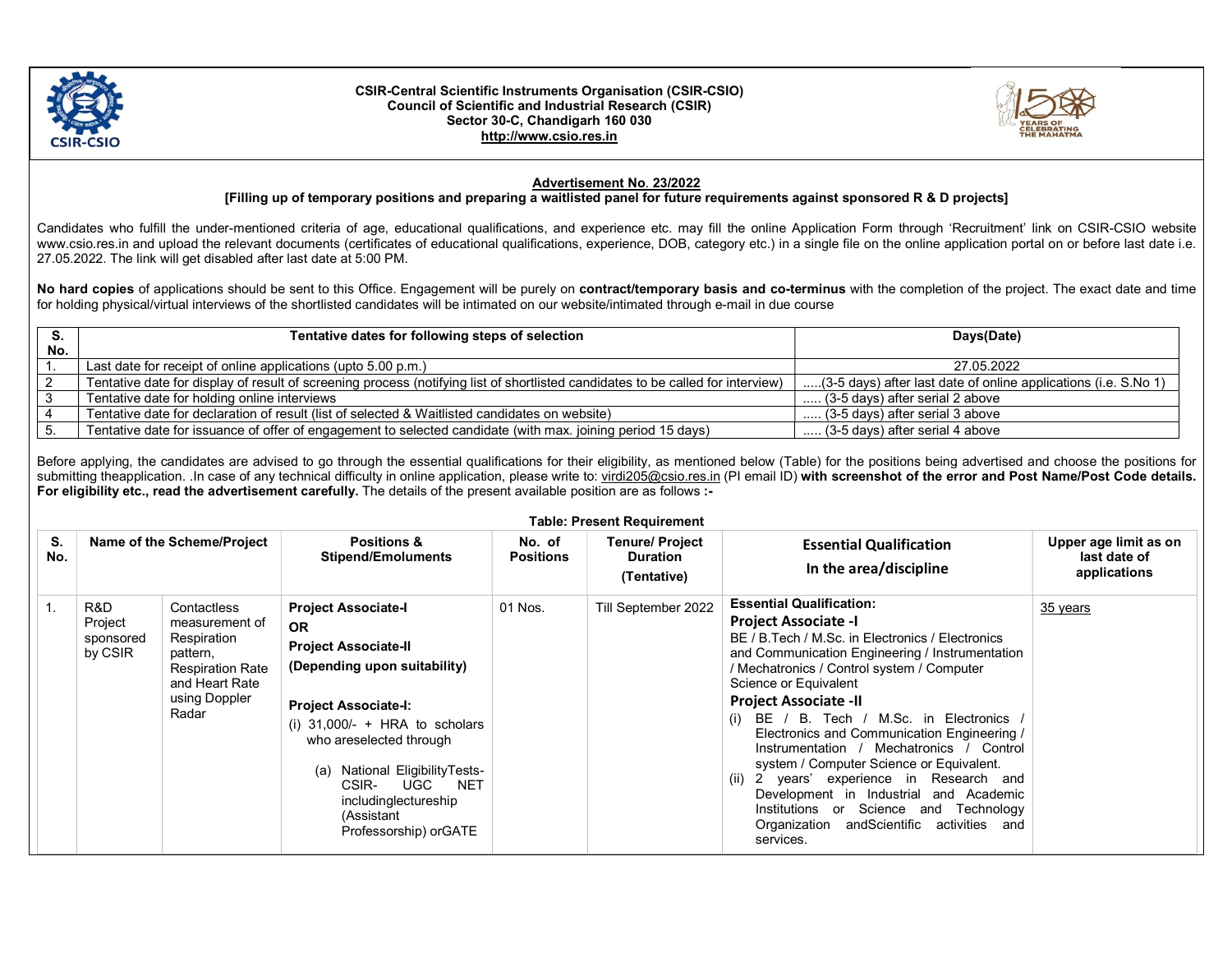

## CSIR-Central Scientific Instruments Organisation (CSIR-CSIO) Council of Scientific and Industrial Research (CSIR) Sector 30-C, Chandigarh 160 030 http://www.csio.res.in



## Advertisement No. 23/2022

## [Filling up of temporary positions and preparing a waitlisted panel for future requirements against sponsored R & D projects]

Candidates who fulfill the under-mentioned criteria of age, educational qualifications, and experience etc. may fill the online Application Form through 'Recruitment' link on CSIR-CSIO website www.csio.res.in and upload the relevant documents (certificates of educational qualifications, experience, DOB, category etc.) in a single file on the online application portal on or before last date i.e. 27.05.2022. The link will get disabled after last date at 5:00 PM.

No hard copies of applications should be sent to this Office. Engagement will be purely on contract/temporary basis and co-terminus with the completion of the project. The exact date and time for holding physical/virtual interviews of the shortlisted candidates will be intimated on our website/intimated through e-mail in due course

| S.  | Tentative dates for following steps of selection                                                                                | Days(Date)                                                      |
|-----|---------------------------------------------------------------------------------------------------------------------------------|-----------------------------------------------------------------|
| No. |                                                                                                                                 |                                                                 |
|     | Last date for receipt of online applications (upto 5.00 p.m.)                                                                   | 27.05.2022                                                      |
|     | Tentative date for display of result of screening process (notifying list of shortlisted candidates to be called for interview) | (3-5 days) after last date of online applications (i.e. S.No 1) |
|     | Tentative date for holding online interviews                                                                                    | (3-5 days) after serial 2 above                                 |
|     | Tentative date for declaration of result (list of selected & Waitlisted candidates on website)                                  | (3-5 days) after serial 3 above                                 |
|     | Tentative date for issuance of offer of engagement to selected candidate (with max. joining period 15 days)                     | (3-5 days) after serial 4 above                                 |

Before applying, the candidates are advised to go through the essential qualifications for their eligibility, as mentioned below (Table) for the positions being advertised and choose the positions for submitting theapplication. In case of any technical difficulty in online application, please write to: virdi205@csio.res.in (PI email ID) with screenshot of the error and Post Name/Post Code details. For eligibility etc., read the advertisement carefully. The details of the present available position are as follows :-

|           |                                        |                                                                                                                                 |                                                                                                                                                                                                                                                                                                                                 |                            | <b>Table: Present Requirement</b>                        |                                                                                                                                                                                                                                                                                                                                                                                                                                                                                                                                                                                                                                                                       |                                                       |
|-----------|----------------------------------------|---------------------------------------------------------------------------------------------------------------------------------|---------------------------------------------------------------------------------------------------------------------------------------------------------------------------------------------------------------------------------------------------------------------------------------------------------------------------------|----------------------------|----------------------------------------------------------|-----------------------------------------------------------------------------------------------------------------------------------------------------------------------------------------------------------------------------------------------------------------------------------------------------------------------------------------------------------------------------------------------------------------------------------------------------------------------------------------------------------------------------------------------------------------------------------------------------------------------------------------------------------------------|-------------------------------------------------------|
| S.<br>No. |                                        | Name of the Scheme/Project                                                                                                      | <b>Positions &amp;</b><br><b>Stipend/Emoluments</b>                                                                                                                                                                                                                                                                             | No. of<br><b>Positions</b> | <b>Tenure/ Project</b><br><b>Duration</b><br>(Tentative) | <b>Essential Qualification</b><br>In the area/discipline                                                                                                                                                                                                                                                                                                                                                                                                                                                                                                                                                                                                              | Upper age limit as on<br>last date of<br>applications |
|           | R&D<br>Project<br>sponsored<br>by CSIR | Contactless<br>measurement of<br>Respiration<br>pattern,<br><b>Respiration Rate</b><br>and Heart Rate<br>using Doppler<br>Radar | <b>Project Associate-I</b><br><b>OR</b><br><b>Project Associate-II</b><br>(Depending upon suitability)<br><b>Project Associate-I:</b><br>(i) $31,000/-$ + HRA to scholars<br>who areselected through<br>National EligibilityTests-<br>(a)<br>UGC<br>CSIR-<br>NET<br>includinglectureship<br>(Assistant<br>Professorship) orGATE | 01 Nos.                    | Till September 2022                                      | <b>Essential Qualification:</b><br><b>Project Associate -I</b><br>BE / B. Tech / M.Sc. in Electronics / Electronics<br>and Communication Engineering / Instrumentation<br>/ Mechatronics / Control system / Computer<br>Science or Equivalent<br><b>Project Associate -II</b><br>(i) BE $/$ B. Tech $/$ M.Sc. in Electronics $/$<br>Electronics and Communication Engineering /<br>Instrumentation / Mechatronics / Control<br>system / Computer Science or Equivalent.<br>(ii) 2 years' experience in Research and<br>Development in Industrial and Academic<br>Institutions or Science and Technology<br>Organization and Scientific<br>activities and<br>services. | 35 years                                              |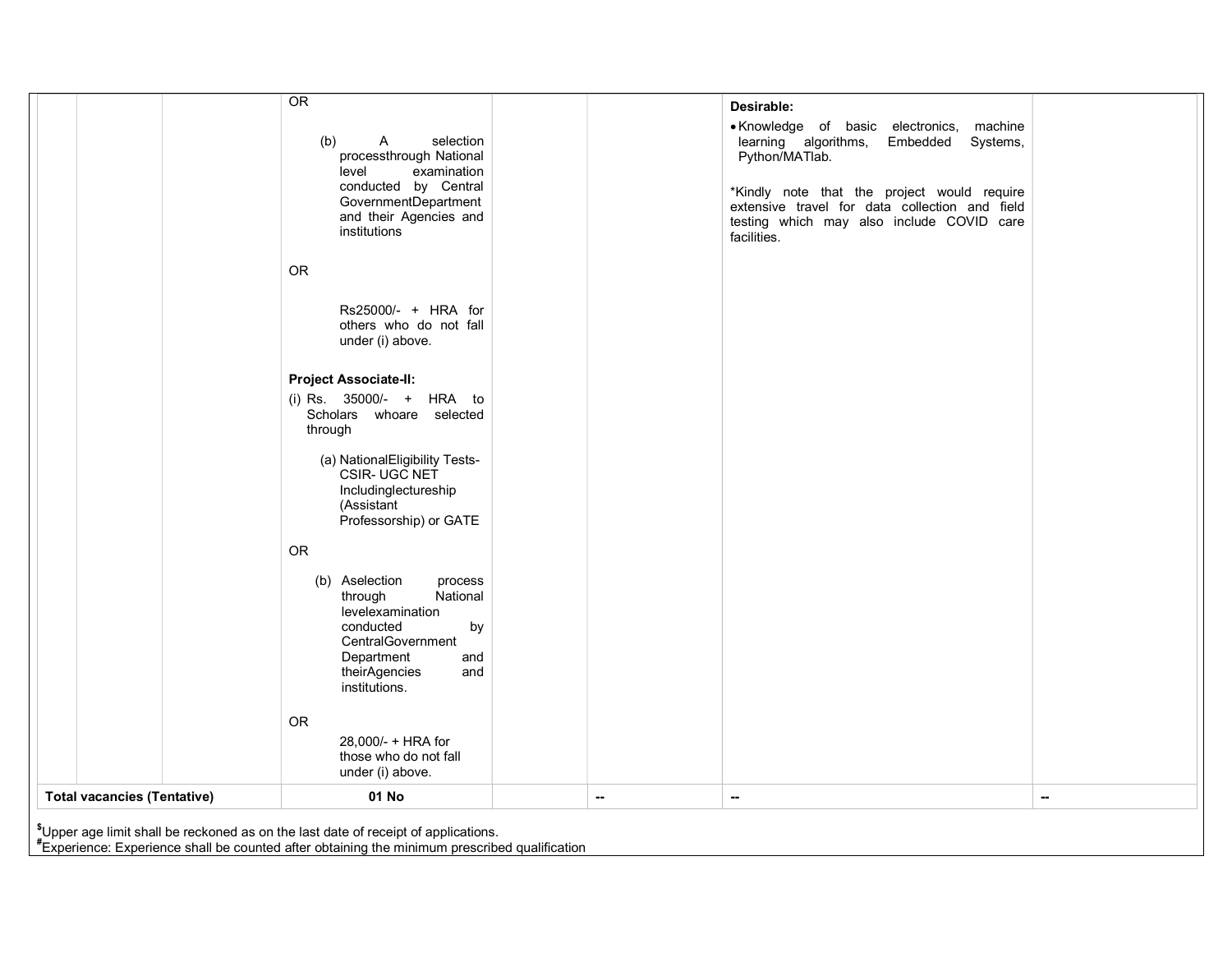|                                    | Includinglectureship<br>(Assistant |   |                  |  |
|------------------------------------|------------------------------------|---|------------------|--|
|                                    |                                    |   |                  |  |
|                                    | Professorship) or GATE             |   |                  |  |
|                                    |                                    |   |                  |  |
|                                    |                                    |   |                  |  |
|                                    |                                    |   |                  |  |
|                                    |                                    |   |                  |  |
|                                    | ${\sf OR}$                         |   |                  |  |
|                                    |                                    |   |                  |  |
|                                    |                                    |   |                  |  |
|                                    | (b) Aselection<br>process          |   |                  |  |
|                                    |                                    |   |                  |  |
|                                    | National<br>through                |   |                  |  |
|                                    |                                    |   |                  |  |
|                                    | levelexamination                   |   |                  |  |
|                                    |                                    |   |                  |  |
|                                    | conducted<br>by                    |   |                  |  |
|                                    |                                    |   |                  |  |
|                                    | CentralGovernment                  |   |                  |  |
|                                    |                                    |   |                  |  |
|                                    | Department<br>and                  |   |                  |  |
|                                    |                                    |   |                  |  |
|                                    | theirAgencies<br>and               |   |                  |  |
|                                    |                                    |   |                  |  |
|                                    |                                    |   |                  |  |
|                                    | institutions.                      |   |                  |  |
|                                    |                                    |   |                  |  |
|                                    |                                    |   |                  |  |
|                                    |                                    |   |                  |  |
|                                    |                                    |   |                  |  |
|                                    |                                    |   |                  |  |
|                                    |                                    |   |                  |  |
|                                    |                                    |   |                  |  |
|                                    | OR                                 |   |                  |  |
|                                    |                                    |   |                  |  |
|                                    |                                    |   |                  |  |
|                                    |                                    |   |                  |  |
|                                    |                                    |   |                  |  |
|                                    | 28.000/- + HRA for                 |   |                  |  |
|                                    |                                    |   |                  |  |
|                                    | those who do not fall              |   |                  |  |
|                                    |                                    |   |                  |  |
|                                    |                                    |   |                  |  |
|                                    | under (i) above.                   |   |                  |  |
|                                    |                                    |   |                  |  |
|                                    |                                    |   |                  |  |
| <b>Total vacancies (Tentative)</b> | 01 No                              | ⊷ | $\sim$<br>$\sim$ |  |

#Experience: Experience shall be counted after obtaining the minimum prescribed qualification